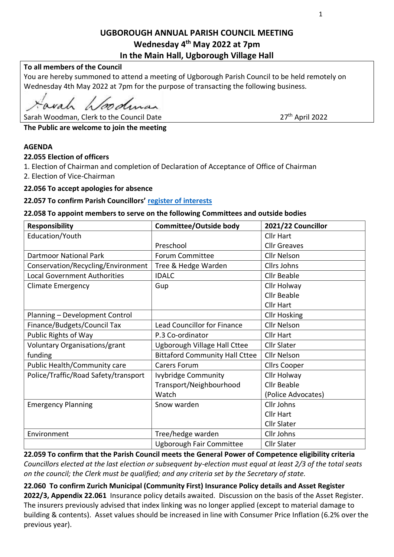# **UGBOROUGH ANNUAL PARISH COUNCIL MEETING Wednesday 4 th May 2022 at 7pm In the Main Hall, Ugborough Village Hall**

### **To all members of the Council**

You are hereby summoned to attend a meeting of Ugborough Parish Council to be held remotely on Wednesday 4th May 2022 at 7pm for the purpose of transacting the following business.

wah alooding

Sarah Woodman, Clerk to the Council Date

 $27<sup>th</sup>$  April 2022

**The Public are welcome to join the meeting** 

#### **AGENDA**

#### **22.055 Election of officers**

1. Election of Chairman and completion of Declaration of Acceptance of Office of Chairman

2. Election of Vice-Chairman

#### **22.056 To accept apologies for absence**

#### **22.057 To confirm Parish Councillors' [register of interests](https://www.southhams.gov.uk/article/3849/Register-of-Interests)**

#### **22.058 To appoint members to serve on the following Committees and outside bodies**

| <b>Responsibility</b>                | <b>Committee/Outside body</b>         | 2021/22 Councillor  |
|--------------------------------------|---------------------------------------|---------------------|
| Education/Youth                      |                                       | <b>Cllr Hart</b>    |
|                                      | Preschool                             | <b>Cllr Greaves</b> |
| <b>Dartmoor National Park</b>        | <b>Forum Committee</b>                | <b>Cllr Nelson</b>  |
| Conservation/Recycling/Environment   | Tree & Hedge Warden                   | <b>Cllrs Johns</b>  |
| <b>Local Government Authorities</b>  | <b>IDALC</b>                          | <b>Cllr Beable</b>  |
| <b>Climate Emergency</b>             | Gup                                   | Cllr Holway         |
|                                      |                                       | Cllr Beable         |
|                                      |                                       | <b>Cllr Hart</b>    |
| Planning - Development Control       |                                       | <b>Cllr Hosking</b> |
| Finance/Budgets/Council Tax          | <b>Lead Councillor for Finance</b>    | <b>Cllr Nelson</b>  |
| Public Rights of Way                 | P.3 Co-ordinator                      | <b>Cllr Hart</b>    |
| Voluntary Organisations/grant        | Ugborough Village Hall Cttee          | <b>Cllr Slater</b>  |
| funding                              | <b>Bittaford Community Hall Cttee</b> | <b>Cllr Nelson</b>  |
| Public Health/Community care         | <b>Carers Forum</b>                   | <b>Cllrs Cooper</b> |
| Police/Traffic/Road Safety/transport | <b>Ivybridge Community</b>            | Cllr Holway         |
|                                      | Transport/Neighbourhood               | <b>Cllr Beable</b>  |
|                                      | Watch                                 | (Police Advocates)  |
| <b>Emergency Planning</b>            | Snow warden                           | Cllr Johns          |
|                                      |                                       | <b>Cllr Hart</b>    |
|                                      |                                       | <b>Cllr Slater</b>  |
| Environment                          | Tree/hedge warden                     | Cllr Johns          |
|                                      | Ugborough Fair Committee              | <b>Cllr Slater</b>  |

**22.059 To confirm that the Parish Council meets the General Power of Competence eligibility criteria** *Councillors elected at the last election or subsequent by-election must equal at least 2/3 of the total seats on the council; the Clerk must be qualified; and any criteria set by the Secretary of state.* 

**22.060 To confirm Zurich Municipal (Community First) Insurance Policy details and Asset Register 2022/3, Appendix 22.061** Insurance policy details awaited. Discussion on the basis of the Asset Register. The insurers previously advised that index linking was no longer applied (except to material damage to building & contents). Asset values should be increased in line with Consumer Price Inflation (6.2% over the previous year).